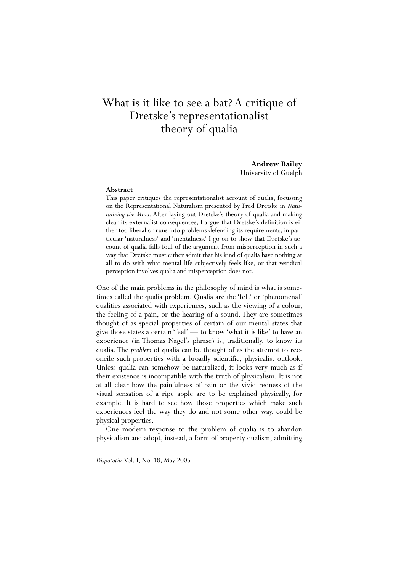# What is it like to see a bat? A critique of Dretske's representationalist theory of qualia

**Andrew Bailey**  University of Guelph

#### **Abstract**

This paper critiques the representationalist account of qualia, focussing on the Representational Naturalism presented by Fred Dretske in *Naturalizing the Mind.* After laying out Dretske's theory of qualia and making clear its externalist consequences, I argue that Dretske's definition is either too liberal or runs into problems defending its requirements, in particular 'naturalness' and 'mentalness.' I go on to show that Dretske's account of qualia falls foul of the argument from misperception in such a way that Dretske must either admit that his kind of qualia have nothing at all to do with what mental life subjectively feels like, or that veridical perception involves qualia and misperception does not.

One of the main problems in the philosophy of mind is what is sometimes called the qualia problem. Qualia are the 'felt' or 'phenomenal' qualities associated with experiences, such as the viewing of a colour, the feeling of a pain, or the hearing of a sound. They are sometimes thought of as special properties of certain of our mental states that give those states a certain 'feel' — to know 'what it is like' to have an experience (in Thomas Nagel's phrase) is, traditionally, to know its qualia. The *problem* of qualia can be thought of as the attempt to reconcile such properties with a broadly scientific, physicalist outlook. Unless qualia can somehow be naturalized, it looks very much as if their existence is incompatible with the truth of physicalism. It is not at all clear how the painfulness of pain or the vivid redness of the visual sensation of a ripe apple are to be explained physically, for example. It is hard to see how those properties which make such experiences feel the way they do and not some other way, could be physical properties.

 One modern response to the problem of qualia is to abandon physicalism and adopt, instead, a form of property dualism, admitting

*Disputatio,* Vol. I, No. 18, May 2005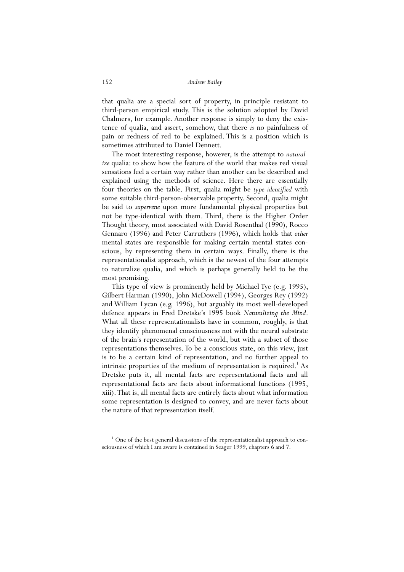that qualia are a special sort of property, in principle resistant to third-person empirical study. This is the solution adopted by David Chalmers, for example. Another response is simply to deny the existence of qualia, and assert, somehow, that there *is* no painfulness of pain or redness of red to be explained. This is a position which is sometimes attributed to Daniel Dennett.

 The most interesting response, however, is the attempt to *naturalize* qualia: to show how the feature of the world that makes red visual sensations feel a certain way rather than another can be described and explained using the methods of science. Here there are essentially four theories on the table. First, qualia might be *type-identified* with some suitable third-person-observable property. Second, qualia might be said to *supervene* upon more fundamental physical properties but not be type-identical with them. Third, there is the Higher Order Thought theory, most associated with David Rosenthal (1990), Rocco Gennaro (1996) and Peter Carruthers (1996), which holds that *other* mental states are responsible for making certain mental states conscious, by representing them in certain ways. Finally, there is the representationalist approach, which is the newest of the four attempts to naturalize qualia, and which is perhaps generally held to be the most promising.

 This type of view is prominently held by Michael Tye (e.g. 1995), Gilbert Harman (1990), John McDowell (1994), Georges Rey (1992) and William Lycan (e.g. 1996), but arguably its most well-developed defence appears in Fred Dretske's 1995 book *Naturalizing the Mind*. What all these representationalists have in common, roughly, is that they identify phenomenal consciousness not with the neural substrate of the brain's representation of the world, but with a subset of those representations themselves. To be a conscious state, on this view, just is to be a certain kind of representation, and no further appeal to intrinsic properties of the medium of representation is required.<sup>1</sup> As Dretske puts it, all mental facts are representational facts and all representational facts are facts about informational functions (1995, xiii). That is, all mental facts are entirely facts about what information some representation is designed to convey, and are never facts about the nature of that representation itself.

<sup>&</sup>lt;sup>1</sup> One of the best general discussions of the representationalist approach to consciousness of which I am aware is contained in Seager 1999, chapters 6 and 7.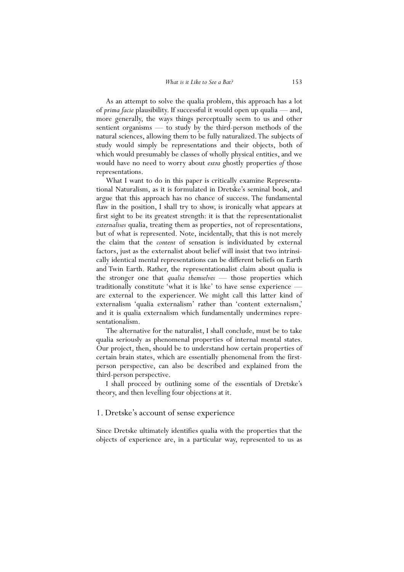As an attempt to solve the qualia problem, this approach has a lot of *prima facie* plausibility. If successful it would open up qualia — and, more generally, the ways things perceptually seem to us and other sentient organisms — to study by the third-person methods of the natural sciences, allowing them to be fully naturalized. The subjects of study would simply be representations and their objects, both of which would presumably be classes of wholly physical entities, and we would have no need to worry about *extra* ghostly properties *of* those representations.

 What I want to do in this paper is critically examine Representational Naturalism, as it is formulated in Dretske's seminal book, and argue that this approach has no chance of success. The fundamental flaw in the position, I shall try to show, is ironically what appears at first sight to be its greatest strength: it is that the representationalist *externalises* qualia, treating them as properties, not of representations, but of what is represented. Note, incidentally, that this is not merely the claim that the *content* of sensation is individuated by external factors, just as the externalist about belief will insist that two intrinsically identical mental representations can be different beliefs on Earth and Twin Earth. Rather, the representationalist claim about qualia is the stronger one that *qualia themselves* — those properties which traditionally constitute 'what it is like' to have sense experience are external to the experiencer. We might call this latter kind of externalism 'qualia externalism' rather than 'content externalism,' and it is qualia externalism which fundamentally undermines representationalism.

 The alternative for the naturalist, I shall conclude, must be to take qualia seriously as phenomenal properties of internal mental states. Our project, then, should be to understand how certain properties of certain brain states, which are essentially phenomenal from the firstperson perspective, can also be described and explained from the third-person perspective.

 I shall proceed by outlining some of the essentials of Dretske's theory, and then levelling four objections at it.

## 1. Dretske's account of sense experience

Since Dretske ultimately identifies qualia with the properties that the objects of experience are, in a particular way, represented to us as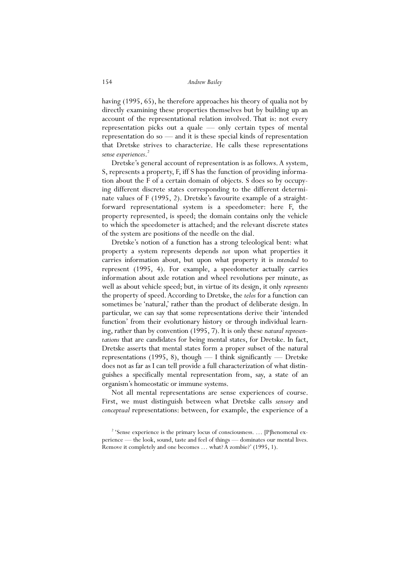having (1995, 65), he therefore approaches his theory of qualia not by directly examining these properties themselves but by building up an account of the representational relation involved. That is: not every representation picks out a quale — only certain types of mental representation do so — and it is these special kinds of representation that Dretske strives to characterize. He calls these representations *sense experiences*. 2

 Dretske's general account of representation is as follows. A system, S, represents a property, F, iff S has the function of providing information about the F of a certain domain of objects. S does so by occupying different discrete states corresponding to the different determinate values of F (1995, 2). Dretske's favourite example of a straightforward representational system is a speedometer: here F, the property represented, is speed; the domain contains only the vehicle to which the speedometer is attached; and the relevant discrete states of the system are positions of the needle on the dial.

 Dretske's notion of a function has a strong teleological bent: what property a system represents depends *not* upon what properties it carries information about, but upon what property it is *intended* to represent (1995, 4). For example, a speedometer actually carries information about axle rotation and wheel revolutions per minute, as well as about vehicle speed; but, in virtue of its design, it only *represents* the property of speed. According to Dretske, the *telos* for a function can sometimes be 'natural,' rather than the product of deliberate design. In particular, we can say that some representations derive their 'intended function' from their evolutionary history or through individual learning, rather than by convention (1995, 7). It is only these *natural representations* that are candidates for being mental states, for Dretske. In fact, Dretske asserts that mental states form a proper subset of the natural representations (1995, 8), though — I think significantly — Dretske does not as far as I can tell provide a full characterization of what distinguishes a specifically mental representation from, say, a state of an organism's homeostatic or immune systems.

 Not all mental representations are sense experiences of course. First, we must distinguish between what Dretske calls *sensory* and *conceptual* representations: between, for example, the experience of a

<sup>&</sup>lt;sup>2</sup> 'Sense experience is the primary locus of consciousness. ... [P]henomenal experience — the look, sound, taste and feel of things — dominates our mental lives. Remove it completely and one becomes … what? A zombie?' (1995, 1).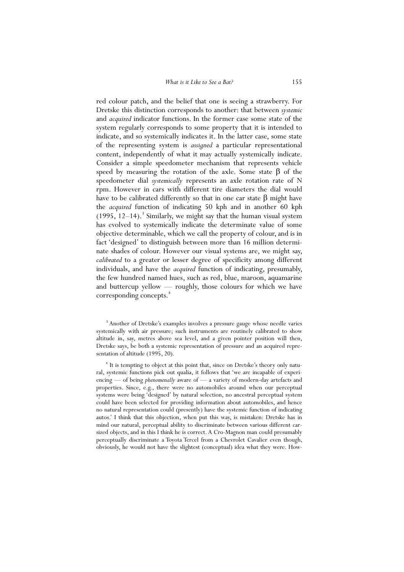red colour patch, and the belief that one is seeing a strawberry. For Dretske this distinction corresponds to another: that between *systemic* and *acquired* indicator functions. In the former case some state of the system regularly corresponds to some property that it is intended to indicate, and so systemically indicates it. In the latter case, some state of the representing system is *assigned* a particular representational content, independently of what it may actually systemically indicate. Consider a simple speedometer mechanism that represents vehicle speed by measuring the rotation of the axle. Some state  $\beta$  of the speedometer dial *systemically* represents an axle rotation rate of N rpm. However in cars with different tire diameters the dial would have to be calibrated differently so that in one car state  $β$  might have the *acquired* function of indicating 50 kph and in another 60 kph  $(1995, 12-14)$ .<sup>3</sup> Similarly, we might say that the human visual system has evolved to systemically indicate the determinate value of some objective determinable, which we call the property of colour, and is in fact 'designed' to distinguish between more than 16 million determinate shades of colour. However our visual systems are, we might say, *calibrated* to a greater or lesser degree of specificity among different individuals, and have the *acquired* function of indicating, presumably, the few hundred named hues, such as red, blue, maroon, aquamarine and buttercup yellow — roughly, those colours for which we have corresponding concepts.<sup>4</sup>

<sup>&</sup>lt;sup>3</sup> Another of Dretske's examples involves a pressure gauge whose needle varies systemically with air pressure; such instruments are routinely calibrated to show altitude in, say, metres above sea level, and a given pointer position will then, Dretske says, be both a systemic representation of pressure and an acquired representation of altitude (1995, 20).

<sup>&</sup>lt;sup>4</sup> It is tempting to object at this point that, since on Dretske's theory only natural, systemic functions pick out qualia, it follows that 'we are incapable of experiencing — of being *phenomenally* aware of — a variety of modern-day artefacts and properties. Since, e.g., there were no automobiles around when our perceptual systems were being 'designed' by natural selection, no ancestral perceptual system could have been selected for providing information about automobiles, and hence no natural representation could (presently) have the systemic function of indicating autos.' I think that this objection, when put this way, is mistaken: Dretske has in mind our natural, perceptual ability to discriminate between various different carsized objects, and in this I think he is correct. A Cro-Magnon man could presumably perceptually discriminate a Toyota Tercel from a Chevrolet Cavalier even though, obviously, he would not have the slightest (conceptual) idea what they were. How-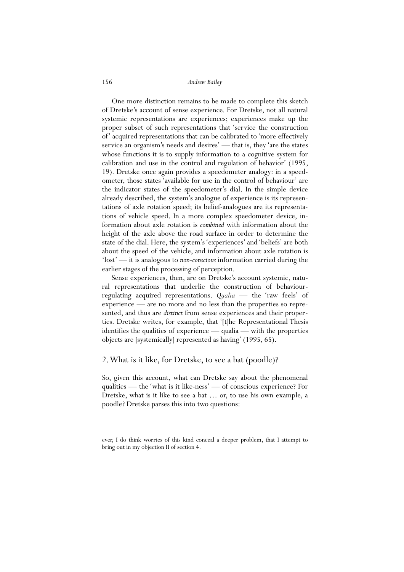One more distinction remains to be made to complete this sketch of Dretske's account of sense experience. For Dretske, not all natural systemic representations are experiences; experiences make up the proper subset of such representations that 'service the construction of' acquired representations that can be calibrated to 'more effectively service an organism's needs and desires' — that is, they 'are the states whose functions it is to supply information to a cognitive system for calibration and use in the control and regulation of behavior' (1995, 19). Dretske once again provides a speedometer analogy: in a speedometer, those states 'available for use in the control of behaviour' are the indicator states of the speedometer's dial. In the simple device already described, the system's analogue of experience is its representations of axle rotation speed; its belief-analogues are its representations of vehicle speed. In a more complex speedometer device, information about axle rotation is *combined* with information about the height of the axle above the road surface in order to determine the state of the dial. Here, the system's 'experiences' and 'beliefs' are both about the speed of the vehicle, and information about axle rotation is 'lost' — it is analogous to *non-conscious* information carried during the earlier stages of the processing of perception.

 Sense experiences, then, are on Dretske's account systemic, natural representations that underlie the construction of behaviourregulating acquired representations. *Qualia* — the 'raw feels' of experience — are no more and no less than the properties so represented, and thus are *distinct* from sense experiences and their properties. Dretske writes, for example, that '[t]he Representational Thesis identifies the qualities of experience — qualia — with the properties objects are [systemically] represented as having' (1995, 65).

## 2. What is it like, for Dretske, to see a bat (poodle)?

So, given this account, what can Dretske say about the phenomenal qualities — the 'what is it like-ness' — of conscious experience? For Dretske, what is it like to see a bat … or, to use his own example, a poodle? Dretske parses this into two questions:

ever, I do think worries of this kind conceal a deeper problem, that I attempt to bring out in my objection II of section 4.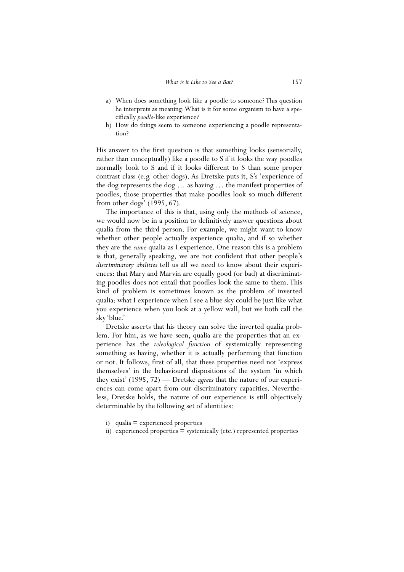- a) When does something look like a poodle to someone? This question he interprets as meaning: What is it for some organism to have a specifically *poodle*-like experience?
- b) How do things seem to someone experiencing a poodle representation?

His answer to the first question is that something looks (sensorially, rather than conceptually) like a poodle to S if it looks the way poodles normally look to S and if it looks different to S than some proper contrast class (e.g. other dogs). As Dretske puts it, S's 'experience of the dog represents the dog … as having … the manifest properties of poodles, those properties that make poodles look so much different from other dogs' (1995, 67).

 The importance of this is that, using only the methods of science, we would now be in a position to definitively answer questions about qualia from the third person. For example, we might want to know whether other people actually experience qualia, and if so whether they are the *same* qualia as I experience. One reason this is a problem is that, generally speaking, we are not confident that other people's *discriminatory abilities* tell us all we need to know about their experiences: that Mary and Marvin are equally good (or bad) at discriminating poodles does not entail that poodles look the same to them. This kind of problem is sometimes known as the problem of inverted qualia: what I experience when I see a blue sky could be just like what you experience when you look at a yellow wall, but we both call the sky 'blue.'

 Dretske asserts that his theory can solve the inverted qualia problem. For him, as we have seen, qualia are the properties that an experience has the *teleological function* of systemically representing something as having, whether it is actually performing that function or not. It follows, first of all, that these properties need not 'express themselves' in the behavioural dispositions of the system 'in which they exist' (1995, 72) — Dretske *agrees* that the nature of our experiences can come apart from our discriminatory capacities. Nevertheless, Dretske holds, the nature of our experience is still objectively determinable by the following set of identities:

- i) qualia  $=$  experienced properties
- ii) experienced properties = systemically (etc.) represented properties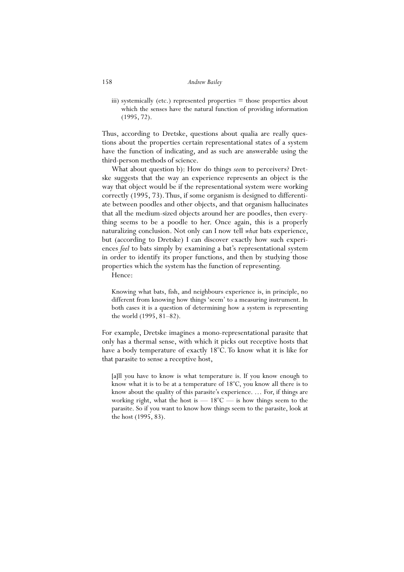iii) systemically (etc.) represented properties  $=$  those properties about which the senses have the natural function of providing information (1995, 72).

Thus, according to Dretske, questions about qualia are really questions about the properties certain representational states of a system have the function of indicating, and as such are answerable using the third-person methods of science.

 What about question b): How do things *seem* to perceivers? Dretske suggests that the way an experience represents an object is the way that object would be if the representational system were working correctly (1995, 73). Thus, if some organism is designed to differentiate between poodles and other objects, and that organism hallucinates that all the medium-sized objects around her are poodles, then everything seems to be a poodle to her. Once again, this is a properly naturalizing conclusion. Not only can I now tell *what* bats experience, but (according to Dretske) I can discover exactly how such experiences *feel* to bats simply by examining a bat's representational system in order to identify its proper functions, and then by studying those properties which the system has the function of representing.

Hence:

Knowing what bats, fish, and neighbours experience is, in principle, no different from knowing how things 'seem' to a measuring instrument. In both cases it is a question of determining how a system is representing the world (1995, 81–82).

For example, Dretske imagines a mono-representational parasite that only has a thermal sense, with which it picks out receptive hosts that have a body temperature of exactly 18°C. To know what it is like for that parasite to sense a receptive host,

[a]ll you have to know is what temperature is. If you know enough to know what it is to be at a temperature of 18°C, you know all there is to know about the quality of this parasite's experience. … For, if things are working right, what the host is  $-18^{\circ}$ C  $-$  is how things seem to the parasite. So if you want to know how things seem to the parasite, look at the host (1995, 83).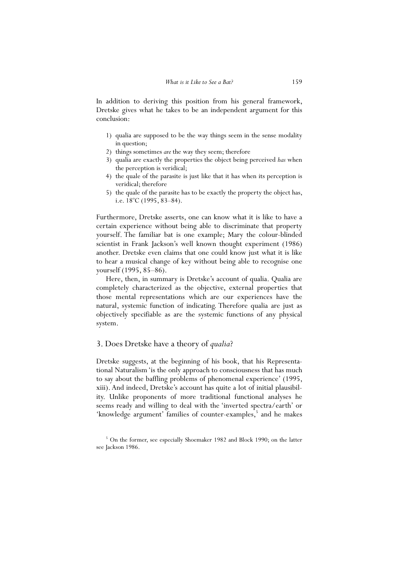In addition to deriving this position from his general framework, Dretske gives what he takes to be an independent argument for this conclusion:

- 1) qualia are supposed to be the way things seem in the sense modality in question;
- 2) things sometimes *are* the way they seem; therefore
- 3) qualia are exactly the properties the object being perceived *has* when the perception is veridical;
- 4) the quale of the parasite is just like that it has when its perception is veridical; therefore
- 5) the quale of the parasite has to be exactly the property the object has, i.e.  $18^{\circ}$ C (1995, 83–84).

Furthermore, Dretske asserts, one can know what it is like to have a certain experience without being able to discriminate that property yourself. The familiar bat is one example; Mary the colour-blinded scientist in Frank Jackson's well known thought experiment (1986) another. Dretske even claims that one could know just what it is like to hear a musical change of key without being able to recognise one yourself (1995, 85–86).

 Here, then, in summary is Dretske's account of qualia. Qualia are completely characterized as the objective, external properties that those mental representations which are our experiences have the natural, systemic function of indicating. Therefore qualia are just as objectively specifiable as are the systemic functions of any physical system.

## 3. Does Dretske have a theory of *qualia*?

Dretske suggests, at the beginning of his book, that his Representational Naturalism 'is the only approach to consciousness that has much to say about the baffling problems of phenomenal experience' (1995, xiii). And indeed, Dretske's account has quite a lot of initial plausibility. Unlike proponents of more traditional functional analyses he seems ready and willing to deal with the 'inverted spectra/earth' or 'knowledge argument' families of counter-examples,<sup>5</sup> and he makes

<sup>&</sup>lt;sup>5</sup> On the former, see especially Shoemaker 1982 and Block 1990; on the latter see Jackson 1986.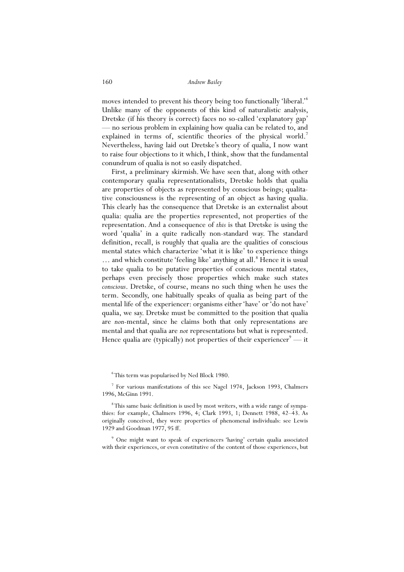moves intended to prevent his theory being too functionally 'liberal.'<sup>6</sup> Unlike many of the opponents of this kind of naturalistic analysis, Dretske (if his theory is correct) faces no so-called 'explanatory gap' — no serious problem in explaining how qualia can be related to, and explained in terms of, scientific theories of the physical world.<sup>7</sup> Nevertheless, having laid out Dretske's theory of qualia, I now want to raise four objections to it which, I think, show that the fundamental conundrum of qualia is not so easily dispatched.

 First, a preliminary skirmish. We have seen that, along with other contemporary qualia representationalists, Dretske holds that qualia are properties of objects as represented by conscious beings; qualitative consciousness is the representing of an object as having qualia. This clearly has the consequence that Dretske is an externalist about qualia: qualia are the properties represented, not properties of the representation. And a consequence of *this* is that Dretske is using the word 'qualia' in a quite radically non-standard way. The standard definition, recall, is roughly that qualia are the qualities of conscious mental states which characterize 'what it is like' to experience things ... and which constitute 'feeling like' anything at all.<sup>8</sup> Hence it is usual to take qualia to be putative properties of conscious mental states, perhaps even precisely those properties which make such states *conscious*. Dretske, of course, means no such thing when he uses the term. Secondly, one habitually speaks of qualia as being part of the mental life of the experiencer: organisms either 'have' or 'do not have' qualia, we say. Dretske must be committed to the position that qualia are *non-*mental, since he claims both that only representations are mental and that qualia are *not* representations but what is represented. Hence qualia are (typically) not properties of their experiencer<sup>9</sup> — it

6 This term was popularised by Ned Block 1980.

<sup>7</sup> For various manifestations of this see Nagel 1974, Jackson 1993, Chalmers 1996, McGinn 1991.

<sup>8</sup>This same basic definition is used by most writers, with a wide range of sympathies: for example, Chalmers 1996, 4; Clark 1993, 1; Dennett 1988, 42–43. As originally conceived, they were properties of phenomenal individuals: see Lewis 1929 and Goodman 1977, 95 ff.

9 One might want to speak of experiencers 'having' certain qualia associated with their experiences, or even constitutive of the content of those experiences, but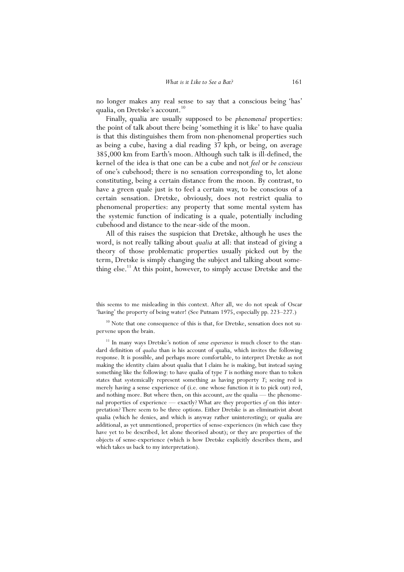no longer makes any real sense to say that a conscious being 'has' qualia, on Dretske's account.<sup>10</sup>

 Finally, qualia are usually supposed to be *phenomenal* properties: the point of talk about there being 'something it is like' to have qualia is that this distinguishes them from non-phenomenal properties such as being a cube, having a dial reading 37 kph, or being, on average 385,000 km from Earth's moon. Although such talk is ill-defined, the kernel of the idea is that one can be a cube and not *feel* or *be conscious* of one's cubehood; there is no sensation corresponding to, let alone constituting, being a certain distance from the moon. By contrast, to have a green quale just is to feel a certain way, to be conscious of a certain sensation. Dretske, obviously, does not restrict qualia to phenomenal properties: any property that some mental system has the systemic function of indicating is a quale, potentially including cubehood and distance to the near-side of the moon.

 All of this raises the suspicion that Dretske, although he uses the word, is not really talking about *qualia* at all: that instead of giving a theory of those problematic properties usually picked out by the term, Dretske is simply changing the subject and talking about something else.<sup>11</sup> At this point, however, to simply accuse Dretske and the

 $10$  Note that one consequence of this is that, for Dretske, sensation does not supervene upon the brain.

<sup>11</sup> In many ways Dretske's notion of *sense experience* is much closer to the standard definition of *qualia* than is his account of qualia, which invites the following response. It is possible, and perhaps more comfortable, to interpret Dretske as not making the identity claim about qualia that I claim he is making, but instead saying something like the following: to have qualia of type *T* is nothing more than to token states that systemically represent something as having property *T*; seeing red is merely having a sense experience of (i.e. one whose function it is to pick out) red, and nothing more. But where then, on this account, *are* the qualia — the phenomenal properties of experience — exactly? What are they properties *of* on this interpretation? There seem to be three options. Either Dretske is an eliminativist about qualia (which he denies, and which is anyway rather uninteresting); or qualia are additional, as yet unmentioned, properties of sense-experiences (in which case they have yet to be described, let alone theorised about); or they are properties of the objects of sense-experience (which is how Dretske explicitly describes them, and which takes us back to my interpretation).

this seems to me misleading in this context. After all, we do not speak of Oscar 'having' the property of being water! (See Putnam 1975, especially pp. 223–227.)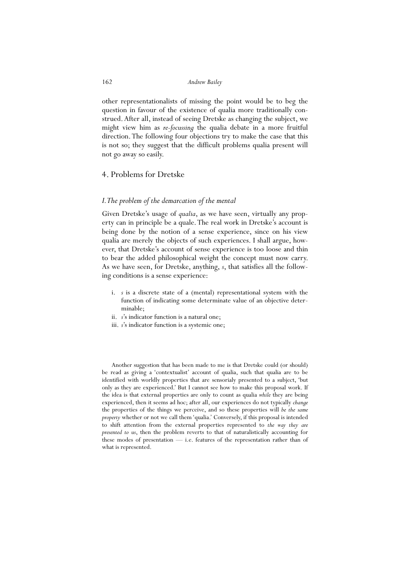other representationalists of missing the point would be to beg the question in favour of the existence of qualia more traditionally construed. After all, instead of seeing Dretske as changing the subject, we might view him as *re-focussing* the qualia debate in a more fruitful direction. The following four objections try to make the case that this is not so; they suggest that the difficult problems qualia present will not go away so easily.

## 4. Problems for Dretske

## *I. The problem of the demarcation of the mental*

Given Dretske's usage of *qualia*, as we have seen, virtually any property can in principle be a quale. The real work in Dretske's account is being done by the notion of a sense experience, since on his view qualia are merely the objects of such experiences. I shall argue, however, that Dretske's account of sense experience is too loose and thin to bear the added philosophical weight the concept must now carry. As we have seen, for Dretske, anything, *s*, that satisfies all the following conditions is a sense experience:

- i. *s* is a discrete state of a (mental) representational system with the function of indicating some determinate value of an objective determinable;
- ii. *s*'s indicator function is a natural one;
- iii. *s*'s indicator function is a systemic one;

Another suggestion that has been made to me is that Dretske could (or should) be read as giving a 'contextualist' account of qualia, such that qualia are to be identified with worldly properties that are sensorialy presented to a subject, 'but only as they are experienced.' But I cannot see how to make this proposal work. If the idea is that external properties are only to count as qualia *while* they are being experienced, then it seems ad hoc; after all, our experiences do not typically *change* the properties of the things we perceive, and so these properties will *be the same property* whether or not we call them 'qualia.' Conversely, if this proposal is intended to shift attention from the external properties represented to *the way they are presented to us*, then the problem reverts to that of naturalistically accounting for these modes of presentation — i.e. features of the representation rather than of what is represented.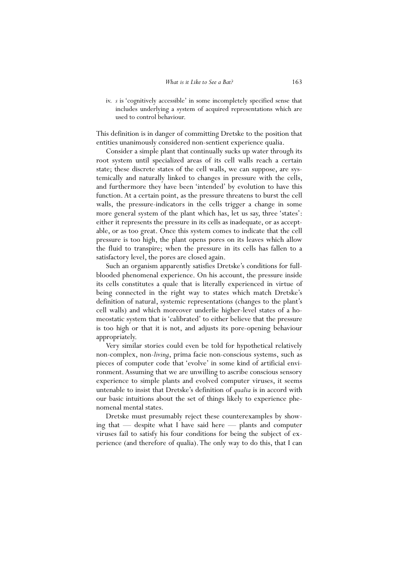iv. *s* is 'cognitively accessible' in some incompletely specified sense that includes underlying a system of acquired representations which are used to control behaviour.

This definition is in danger of committing Dretske to the position that entities unanimously considered non-sentient experience qualia.

 Consider a simple plant that continually sucks up water through its root system until specialized areas of its cell walls reach a certain state; these discrete states of the cell walls, we can suppose, are systemically and naturally linked to changes in pressure with the cells, and furthermore they have been 'intended' by evolution to have this function. At a certain point, as the pressure threatens to burst the cell walls, the pressure-indicators in the cells trigger a change in some more general system of the plant which has, let us say, three 'states': either it represents the pressure in its cells as inadequate, or as acceptable, or as too great. Once this system comes to indicate that the cell pressure is too high, the plant opens pores on its leaves which allow the fluid to transpire; when the pressure in its cells has fallen to a satisfactory level, the pores are closed again.

 Such an organism apparently satisfies Dretske's conditions for fullblooded phenomenal experience. On his account, the pressure inside its cells constitutes a quale that is literally experienced in virtue of being connected in the right way to states which match Dretske's definition of natural, systemic representations (changes to the plant's cell walls) and which moreover underlie higher-level states of a homeostatic system that is 'calibrated' to either believe that the pressure is too high or that it is not, and adjusts its pore-opening behaviour appropriately.

 Very similar stories could even be told for hypothetical relatively non-complex, non-*living*, prima facie non-conscious systems, such as pieces of computer code that 'evolve' in some kind of artificial environment. Assuming that we are unwilling to ascribe conscious sensory experience to simple plants and evolved computer viruses, it seems untenable to insist that Dretske's definition of *qualia* is in accord with our basic intuitions about the set of things likely to experience phenomenal mental states.

 Dretske must presumably reject these counterexamples by showing that — despite what I have said here — plants and computer viruses fail to satisfy his four conditions for being the subject of experience (and therefore of qualia). The only way to do this, that I can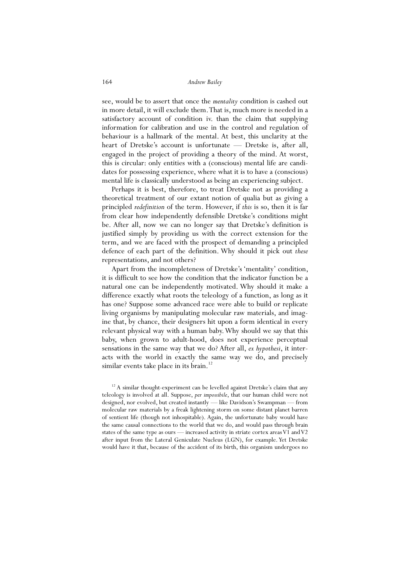see, would be to assert that once the *mentality* condition is cashed out in more detail, it will exclude them. That is, much more is needed in a satisfactory account of condition iv. than the claim that supplying information for calibration and use in the control and regulation of behaviour is a hallmark of the mental. At best, this unclarity at the heart of Dretske's account is unfortunate — Dretske is, after all, engaged in the project of providing a theory of the mind. At worst, this is circular: only entities with a (conscious) mental life are candidates for possessing experience, where what it is to have a (conscious) mental life is classically understood as being an experiencing subject.

 Perhaps it is best, therefore, to treat Dretske not as providing a theoretical treatment of our extant notion of qualia but as giving a principled *redefinition* of the term. However, if *this* is so, then it is far from clear how independently defensible Dretske's conditions might be. After all, now we can no longer say that Dretske's definition is justified simply by providing us with the correct extension for the term, and we are faced with the prospect of demanding a principled defence of each part of the definition. Why should it pick out *these* representations, and not others?

 Apart from the incompleteness of Dretske's 'mentality' condition, it is difficult to see how the condition that the indicator function be a natural one can be independently motivated. Why should it make a difference exactly what roots the teleology of a function, as long as it has one? Suppose some advanced race were able to build or replicate living organisms by manipulating molecular raw materials, and imagine that, by chance, their designers hit upon a form identical in every relevant physical way with a human baby. Why should we say that this baby, when grown to adult-hood, does not experience perceptual sensations in the same way that we do? After all, *ex hypothesi*, it interacts with the world in exactly the same way we do, and precisely similar events take place in its brain.<sup>12</sup>

 $12$  A similar thought-experiment can be levelled against Dretske's claim that any teleology is involved at all. Suppose, *per impossibile*, that our human child were not designed, nor evolved, but created instantly — like Davidson's Swampman — from molecular raw materials by a freak lightening storm on some distant planet barren of sentient life (though not inhospitable). Again, the unfortunate baby would have the same causal connections to the world that we do, and would pass through brain states of the same type as ours — increased activity in striate cortex areas V1 and V2 after input from the Lateral Geniculate Nucleus (LGN), for example. Yet Dretske would have it that, because of the accident of its birth, this organism undergoes no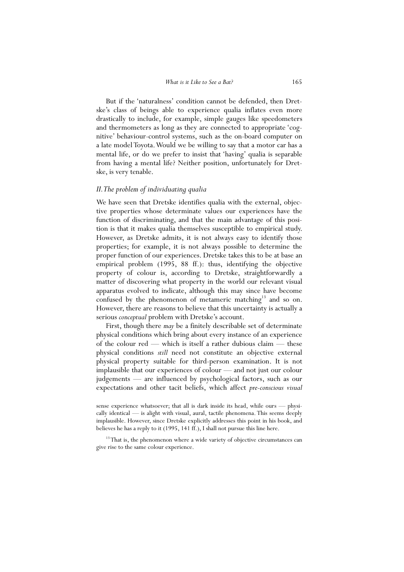But if the 'naturalness' condition cannot be defended, then Dretske's class of beings able to experience qualia inflates even more drastically to include, for example, simple gauges like speedometers and thermometers as long as they are connected to appropriate 'cognitive' behaviour-control systems, such as the on-board computer on a late model Toyota. Would we be willing to say that a motor car has a mental life, or do we prefer to insist that 'having' qualia is separable from having a mental life? Neither position, unfortunately for Dretske, is very tenable.

## *II. The problem of individuating qualia*

We have seen that Dretske identifies qualia with the external, objective properties whose determinate values our experiences have the function of discriminating, and that the main advantage of this position is that it makes qualia themselves susceptible to empirical study. However, as Dretske admits, it is not always easy to identify those properties; for example, it is not always possible to determine the proper function of our experiences. Dretske takes this to be at base an empirical problem (1995, 88 ff.): thus, identifying the objective property of colour is, according to Dretske, straightforwardly a matter of discovering what property in the world our relevant visual apparatus evolved to indicate, although this may since have become confused by the phenomenon of metameric matching<sup>13</sup> and so on. However, there are reasons to believe that this uncertainty is actually a serious *conceptual* problem with Dretske's account.

 First, though there *may* be a finitely describable set of determinate physical conditions which bring about every instance of an experience of the colour red — which is itself a rather dubious claim — these physical conditions *still* need not constitute an objective external physical property suitable for third-person examination. It is not implausible that our experiences of colour — and not just our colour judgements — are influenced by psychological factors, such as our expectations and other tacit beliefs, which affect *pre-conscious visual* 

sense experience whatsoever; that all is dark inside its head, while ours — physically identical — is alight with visual, aural, tactile phenomena. This seems deeply implausible. However, since Dretske explicitly addresses this point in his book, and believes he has a reply to it (1995, 141 ff.), I shall not pursue this line here.

<sup>&</sup>lt;sup>13</sup> That is, the phenomenon where a wide variety of objective circumstances can give rise to the same colour experience.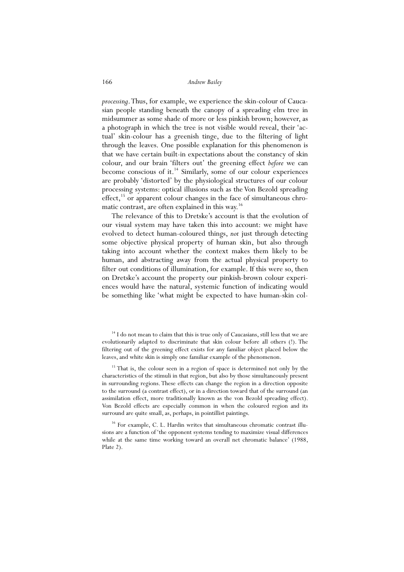*processing*. Thus, for example, we experience the skin-colour of Caucasian people standing beneath the canopy of a spreading elm tree in midsummer as some shade of more or less pinkish brown; however, as a photograph in which the tree is not visible would reveal, their 'actual' skin-colour has a greenish tinge, due to the filtering of light through the leaves. One possible explanation for this phenomenon is that we have certain built-in expectations about the constancy of skin colour, and our brain 'filters out' the greening effect *before* we can become conscious of it.<sup>14</sup> Similarly, some of our colour experiences are probably 'distorted' by the physiological structures of our colour processing systems: optical illusions such as the Von Bezold spreading effect, $15$  or apparent colour changes in the face of simultaneous chromatic contrast, are often explained in this way.<sup>16</sup>

 The relevance of this to Dretske's account is that the evolution of our visual system may have taken this into account: we might have evolved to detect human-coloured things, *not* just through detecting some objective physical property of human skin, but also through taking into account whether the context makes them likely to be human, and abstracting away from the actual physical property to filter out conditions of illumination, for example. If this were so, then on Dretske's account the property our pinkish-brown colour experiences would have the natural, systemic function of indicating would be something like 'what might be expected to have human-skin col-

<sup>15</sup> That is, the colour seen in a region of space is determined not only by the characteristics of the stimuli in that region, but also by those simultaneously present in surrounding regions. These effects can change the region in a direction opposite to the surround (a contrast effect), or in a direction toward that of the surround (an assimilation effect, more traditionally known as the von Bezold spreading effect). Von Bezold effects are especially common in when the coloured region and its surround are quite small, as, perhaps, in pointillist paintings.

 $16$  For example, C. L. Hardin writes that simultaneous chromatic contrast illusions are a function of 'the opponent systems tending to maximize visual differences while at the same time working toward an overall net chromatic balance' (1988, Plate 2).

<sup>&</sup>lt;sup>14</sup> I do not mean to claim that this is true only of Caucasians, still less that we are evolutionarily adapted to discriminate that skin colour before all others (!). The filtering out of the greening effect exists for any familiar object placed below the leaves, and white skin is simply one familiar example of the phenomenon.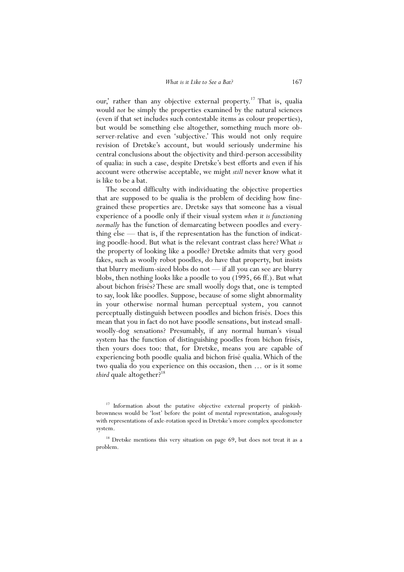our,' rather than any objective external property.<sup>17</sup> That is, qualia would *not* be simply the properties examined by the natural sciences (even if that set includes such contestable items as colour properties), but would be something else altogether, something much more observer-relative and even 'subjective.' This would not only require revision of Dretske's account, but would seriously undermine his central conclusions about the objectivity and third-person accessibility of qualia: in such a case, despite Dretske's best efforts and even if his account were otherwise acceptable, we might *still* never know what it is like to be a bat.

 The second difficulty with individuating the objective properties that are supposed to be qualia is the problem of deciding how finegrained these properties are. Dretske says that someone has a visual experience of a poodle only if their visual system *when it is functioning normally* has the function of demarcating between poodles and everything else — that is, if the representation has the function of indicating poodle-hood. But what is the relevant contrast class here? What *is* the property of looking like a poodle? Dretske admits that very good fakes, such as woolly robot poodles, do have that property, but insists that blurry medium-sized blobs do not — if all you can see are blurry blobs, then nothing looks like a poodle to you (1995, 66 ff.). But what about bichon frisés? These are small woolly dogs that, one is tempted to say, look like poodles. Suppose, because of some slight abnormality in your otherwise normal human perceptual system, you cannot perceptually distinguish between poodles and bichon frisés. Does this mean that you in fact do not have poodle sensations, but instead smallwoolly-dog sensations? Presumably, if any normal human's visual system has the function of distinguishing poodles from bichon frisés, then yours does too: that, for Dretske, means you are capable of experiencing both poodle qualia and bichon frisé qualia. Which of the two qualia do you experience on this occasion, then … or is it some *third* quale altogether?<sup>18</sup>

<sup>&</sup>lt;sup>17</sup> Information about the putative objective external property of pinkishbrownness would be 'lost' before the point of mental representation, analogously with representations of axle-rotation speed in Dretske's more complex speedometer system.

<sup>&</sup>lt;sup>18</sup> Dretske mentions this very situation on page 69, but does not treat it as a problem.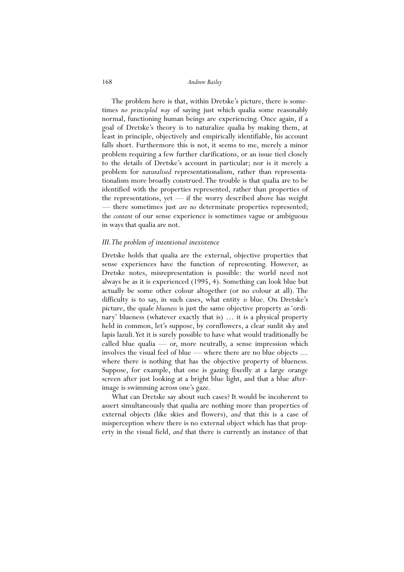The problem here is that, within Dretske's picture, there is sometimes *no principled way* of saying just which qualia some reasonably normal, functioning human beings are experiencing. Once again, if a goal of Dretske's theory is to naturalize qualia by making them, at least in principle, objectively and empirically identifiable, his account falls short. Furthermore this is not, it seems to me, merely a minor problem requiring a few further clarifications, or an issue tied closely to the details of Dretske's account in particular; nor is it merely a problem for *naturalised* representationalism, rather than representationalism more broadly construed. The trouble is that qualia are to be identified with the properties represented, rather than properties of the representations, yet — if the worry described above has weight — there sometimes just *are no* determinate properties represented; the *content* of our sense experience is sometimes vague or ambiguous in ways that qualia are not.

#### *III. The problem of intentional inexistence*

Dretske holds that qualia are the external, objective properties that sense experiences have the function of representing. However, as Dretske notes, misrepresentation is possible: the world need not always be as it is experienced (1995, 4). Something can look blue but actually be some other colour altogether (or no colour at all). The difficulty is to say, in such cases, what entity *is* blue. On Dretske's picture, the quale *blueness* is just the same objective property as 'ordinary' blueness (whatever exactly that is) … it is a physical property held in common, let's suppose, by cornflowers, a clear sunlit sky and lapis lazuli. Yet it is surely possible to have what would traditionally be called blue qualia — or, more neutrally, a sense impression which involves the visual feel of blue — where there are no blue objects … where there is nothing that has the objective property of blueness. Suppose, for example, that one is gazing fixedly at a large orange screen after just looking at a bright blue light, and that a blue afterimage is swimming across one's gaze.

 What can Dretske say about such cases? It would be incoherent to assert simultaneously that qualia are nothing more than properties of external objects (like skies and flowers), *and* that this is a case of misperception where there is no external object which has that property in the visual field, *and* that there is currently an instance of that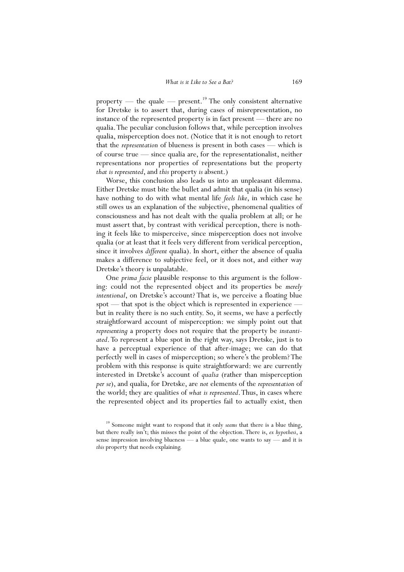property — the quale — present.<sup>19</sup> The only consistent alternative for Dretske is to assert that, during cases of misrepresentation, no instance of the represented property is in fact present — there are no qualia. The peculiar conclusion follows that, while perception involves qualia, misperception does not. (Notice that it is not enough to retort that the *representation* of blueness is present in both cases — which is of course true — since qualia are, for the representationalist, neither representations nor properties of representations but the property *that is represented*, and *this* property *is* absent.)

 Worse, this conclusion also leads us into an unpleasant dilemma. Either Dretske must bite the bullet and admit that qualia (in his sense) have nothing to do with what mental life *feels like*, in which case he still owes us an explanation of the subjective, phenomenal qualities of consciousness and has not dealt with the qualia problem at all; or he must assert that, by contrast with veridical perception, there is nothing it feels like to misperceive, since misperception does not involve qualia (or at least that it feels very different from veridical perception, since it involves *different* qualia). In short, either the absence of qualia makes a difference to subjective feel, or it does not, and either way Dretske's theory is unpalatable.

 One *prima facie* plausible response to this argument is the following: could not the represented object and its properties be *merely intentional*, on Dretske's account? That is, we perceive a floating blue spot — that spot is the object which is represented in experience but in reality there is no such entity. So, it seems, we have a perfectly straightforward account of misperception: we simply point out that *representing* a property does not require that the property be *instantiated*. To represent a blue spot in the right way, says Dretske, just is to have a perceptual experience of that after-image; we can do that perfectly well in cases of misperception; so where's the problem? The problem with this response is quite straightforward: we are currently interested in Dretske's account of *qualia* (rather than misperception *per se*), and qualia, for Dretske, are *not* elements of the *representation* of the world; they are qualities of *what is represented*. Thus, in cases where the represented object and its properties fail to actually exist, then

<sup>&</sup>lt;sup>19</sup> Someone might want to respond that it only *seems* that there is a blue thing, but there really isn't; this misses the point of the objection. There is, *ex hypothesi*, a sense impression involving blueness — a blue quale, one wants to say — and it is *this* property that needs explaining.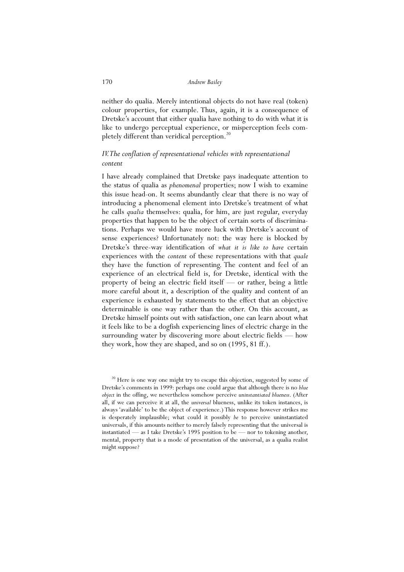neither do qualia. Merely intentional objects do not have real (token) colour properties, for example. Thus, again, it is a consequence of Dretske's account that either qualia have nothing to do with what it is like to undergo perceptual experience, or misperception feels completely different than veridical perception. $^{20}$ 

# *IV. The conflation of representational vehicles with representational content*

I have already complained that Dretske pays inadequate attention to the status of qualia as *phenomenal* properties; now I wish to examine this issue head-on. It seems abundantly clear that there is no way of introducing a phenomenal element into Dretske's treatment of what he calls *qualia* themselves: qualia, for him, are just regular, everyday properties that happen to be the object of certain sorts of discriminations. Perhaps we would have more luck with Dretske's account of sense experiences? Unfortunately not: the way here is blocked by Dretske's three-way identification of *what it is like to have* certain experiences with the *content* of these representations with that *quale* they have the function of representing. The content and feel of an experience of an electrical field is, for Dretske, identical with the property of being an electric field itself — or rather, being a little more careful about it, a description of the quality and content of an experience is exhausted by statements to the effect that an objective determinable is one way rather than the other. On this account, as Dretske himself points out with satisfaction, one can learn about what it feels like to be a dogfish experiencing lines of electric charge in the surrounding water by discovering more about electric fields — how they work, how they are shaped, and so on (1995, 81 ff.).

<sup>20</sup> Here is one way one might try to escape this objection, suggested by some of Dretske's comments in 1999: perhaps one could argue that although there is no *blue object* in the offing, we nevertheless somehow perceive *uninstantiated blueness*. (After all, if we can perceive it at all, the *universal* blueness, unlike its token instances, is always 'available' to be the object of experience.) This response however strikes me is desperately implausible; what could it possibly *be* to perceive uninstantiated universals, if this amounts neither to merely falsely representing that the universal is instantiated — as I take Dretske's 1995 position to be — nor to tokening another, mental, property that is a mode of presentation of the universal, as a qualia realist might suppose?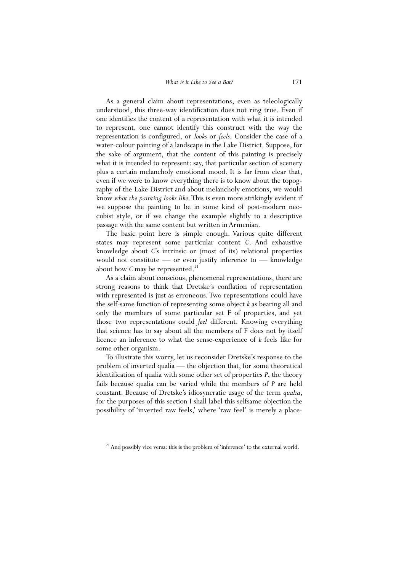As a general claim about representations, even as teleologically understood, this three-way identification does not ring true. Even if one identifies the content of a representation with what it is intended to represent, one cannot identify this construct with the way the representation is configured, or *looks* or *feels*. Consider the case of a water-colour painting of a landscape in the Lake District. Suppose, for the sake of argument, that the content of this painting is precisely what it is intended to represent: say, that particular section of scenery plus a certain melancholy emotional mood. It is far from clear that, even if we were to know everything there is to know about the topography of the Lake District and about melancholy emotions, we would know *what the painting looks like*. This is even more strikingly evident if we suppose the painting to be in some kind of post-modern neocubist style, or if we change the example slightly to a descriptive passage with the same content but written in Armenian.

 The basic point here is simple enough. Various quite different states may represent some particular content *C*. And exhaustive knowledge about *C*'s intrinsic or (most of its) relational properties would not constitute — or even justify inference to — knowledge about how  $C$  may be represented.<sup>21</sup>

 As a claim about conscious, phenomenal representations, there are strong reasons to think that Dretske's conflation of representation with represented is just as erroneous. Two representations could have the self-same function of representing some object *k* as bearing all and only the members of some particular set F of properties, and yet those two representations could *feel* different. Knowing everything that science has to say about all the members of F does not by itself licence an inference to what the sense-experience of *k* feels like for some other organism.

 To illustrate this worry, let us reconsider Dretske's response to the problem of inverted qualia — the objection that, for some theoretical identification of qualia with some other set of properties *P*, the theory fails because qualia can be varied while the members of *P* are held constant. Because of Dretske's idiosyncratic usage of the term *qualia*, for the purposes of this section I shall label this selfsame objection the possibility of 'inverted raw feels,' where 'raw feel' is merely a place-

<sup>&</sup>lt;sup>21</sup> And possibly vice versa: this is the problem of 'inference' to the external world.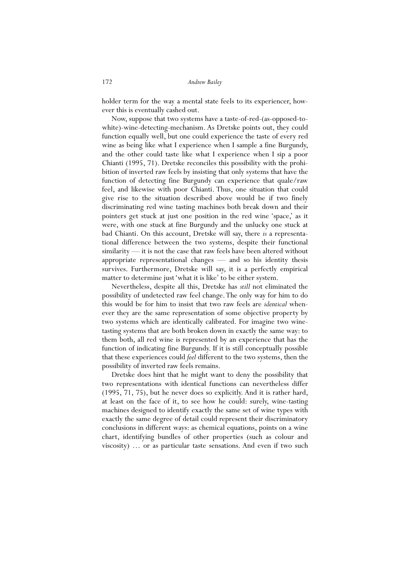holder term for the way a mental state feels to its experiencer, however this is eventually cashed out.

 Now, suppose that two systems have a taste-of-red-(as-opposed-towhite)-wine-detecting-mechanism. As Dretske points out, they could function equally well, but one could experience the taste of every red wine as being like what I experience when I sample a fine Burgundy, and the other could taste like what I experience when I sip a poor Chianti (1995, 71). Dretske reconciles this possibility with the prohibition of inverted raw feels by insisting that only systems that have the function of detecting fine Burgundy can experience that quale/raw feel, and likewise with poor Chianti. Thus, one situation that could give rise to the situation described above would be if two finely discriminating red wine tasting machines both break down and their pointers get stuck at just one position in the red wine 'space,' as it were, with one stuck at fine Burgundy and the unlucky one stuck at bad Chianti. On this account, Dretske will say, there *is* a representational difference between the two systems, despite their functional similarity — it is not the case that raw feels have been altered without appropriate representational changes — and so his identity thesis survives. Furthermore, Dretske will say, it is a perfectly empirical matter to determine just 'what it is like' to be either system.

 Nevertheless, despite all this, Dretske has *still* not eliminated the possibility of undetected raw feel change. The only way for him to do this would be for him to insist that two raw feels are *identical* whenever they are the same representation of some objective property by two systems which are identically calibrated. For imagine two winetasting systems that are both broken down in exactly the same way: to them both, all red wine is represented by an experience that has the function of indicating fine Burgundy. If it is still conceptually possible that these experiences could *feel* different to the two systems, then the possibility of inverted raw feels remains.

 Dretske does hint that he might want to deny the possibility that two representations with identical functions can nevertheless differ (1995, 71, 75), but he never does so explicitly. And it is rather hard, at least on the face of it, to see how he could: surely, wine-tasting machines designed to identify exactly the same set of wine types with exactly the same degree of detail could represent their discriminatory conclusions in different ways: as chemical equations, points on a wine chart, identifying bundles of other properties (such as colour and viscosity) … or as particular taste sensations. And even if two such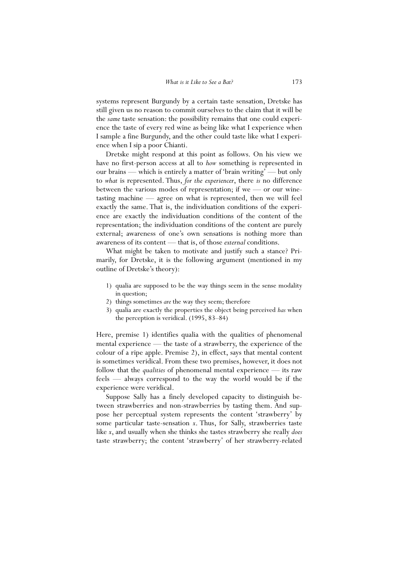systems represent Burgundy by a certain taste sensation, Dretske has still given us no reason to commit ourselves to the claim that it will be the *same* taste sensation: the possibility remains that one could experience the taste of every red wine as being like what I experience when I sample a fine Burgundy, and the other could taste like what I experience when I sip a poor Chianti.

 Dretske might respond at this point as follows. On his view we have no first-person access at all to *how* something is represented in our brains — which is entirely a matter of 'brain writing' — but only to *what* is represented. Thus, *for the experiencer*, there *is* no difference between the various modes of representation; if we — or our winetasting machine — agree on what is represented, then we will feel exactly the same. That is, the individuation conditions of the experience are exactly the individuation conditions of the content of the representation; the individuation conditions of the content are purely external; awareness of one's own sensations is nothing more than awareness of its content — that is, of those *external* conditions.

 What might be taken to motivate and justify such a stance? Primarily, for Dretske, it is the following argument (mentioned in my outline of Dretske's theory):

- 1) qualia are supposed to be the way things seem in the sense modality in question;
- 2) things sometimes *are* the way they seem; therefore
- 3) qualia are exactly the properties the object being perceived *has* when the perception is veridical. (1995, 83–84)

Here, premise 1) identifies qualia with the qualities of phenomenal mental experience — the taste of a strawberry, the experience of the colour of a ripe apple. Premise 2), in effect, says that mental content is sometimes veridical. From these two premises, however, it does not follow that the *qualities* of phenomenal mental experience — its raw feels — always correspond to the way the world would be if the experience were veridical.

 Suppose Sally has a finely developed capacity to distinguish between strawberries and non-strawberries by tasting them. And suppose her perceptual system represents the content 'strawberry' by some particular taste-sensation *x*. Thus, for Sally, strawberries taste like *x*, and usually when she thinks she tastes strawberry she really *does* taste strawberry; the content 'strawberry' of her strawberry-related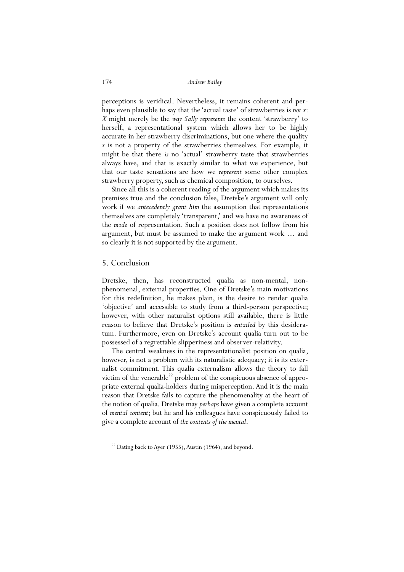perceptions is veridical. Nevertheless, it remains coherent and perhaps even plausible to say that the 'actual taste' of strawberries is *not x*: *X* might merely be the *way Sally represents* the content 'strawberry' to herself, a representational system which allows her to be highly accurate in her strawberry discriminations, but one where the quality *x* is not a property of the strawberries themselves. For example, it might be that there *is* no 'actual' strawberry taste that strawberries always have, and that is exactly similar to what we experience, but that our taste sensations are how we *represent* some other complex strawberry property, such as chemical composition, to ourselves.

 Since all this is a coherent reading of the argument which makes its premises true and the conclusion false, Dretske's argument will only work if we *antecedently grant him* the assumption that representations themselves are completely 'transparent,' and we have no awareness of the *mode* of representation. Such a position does not follow from his argument, but must be assumed to make the argument work … and so clearly it is not supported by the argument.

## 5. Conclusion

Dretske, then, has reconstructed qualia as non-mental, nonphenomenal, external properties. One of Dretske's main motivations for this redefinition, he makes plain, is the desire to render qualia 'objective' and accessible to study from a third-person perspective; however, with other naturalist options still available, there is little reason to believe that Dretske's position is *entailed* by this desideratum. Furthermore, even on Dretske's account qualia turn out to be possessed of a regrettable slipperiness and observer-relativity.

 The central weakness in the representationalist position on qualia, however, is not a problem with its naturalistic adequacy; it is its externalist commitment. This qualia externalism allows the theory to fall victim of the venerable $^{22}$  problem of the conspicuous absence of appropriate external qualia-holders during misperception. And it is the main reason that Dretske fails to capture the phenomenality at the heart of the notion of qualia. Dretske may *perhaps* have given a complete account of *mental content*; but he and his colleagues have conspicuously failed to give a complete account of *the contents of the mental*.

 $22$  Dating back to Ayer (1955), Austin (1964), and beyond.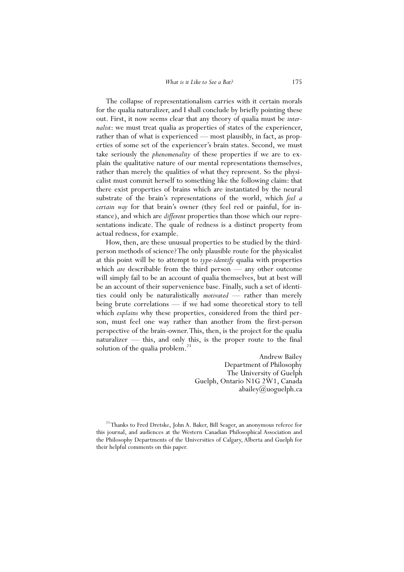The collapse of representationalism carries with it certain morals for the qualia naturalizer, and I shall conclude by briefly pointing these out. First, it now seems clear that any theory of qualia must be *internalist*: we must treat qualia as properties of states of the experiencer, rather than of what is experienced — most plausibly, in fact, as properties of some set of the experiencer's brain states. Second, we must take seriously the *phenomenality* of these properties if we are to explain the qualitative nature of our mental representations themselves, rather than merely the qualities of what they represent. So the physicalist must commit herself to something like the following claim: that there exist properties of brains which are instantiated by the neural substrate of the brain's representations of the world, which *feel a certain way* for that brain's owner (they feel red or painful, for instance), and which are *different* properties than those which our representations indicate. The quale of redness is a distinct property from actual redness, for example.

 How, then, are these unusual properties to be studied by the thirdperson methods of science? The only plausible route for the physicalist at this point will be to attempt to *type-identify* qualia with properties which *are* describable from the third person — any other outcome will simply fail to be an account of qualia themselves, but at best will be an account of their supervenience base. Finally, such a set of identities could only be naturalistically *motivated* — rather than merely being brute correlations — if we had some theoretical story to tell which *explains* why these properties, considered from the third person, must feel one way rather than another from the first-person perspective of the brain-owner. This, then, is the project for the qualia naturalizer — this, and only this, is the proper route to the final solution of the qualia problem. $^{23}$ 

> Andrew Bailey Department of Philosophy The University of Guelph Guelph, Ontario N1G 2W1, Canada abailey@uoguelph.ca

<sup>&</sup>lt;sup>23</sup> Thanks to Fred Dretske, John A. Baker, Bill Seager, an anonymous referee for this journal, and audiences at the Western Canadian Philosophical Association and the Philosophy Departments of the Universities of Calgary, Alberta and Guelph for their helpful comments on this paper.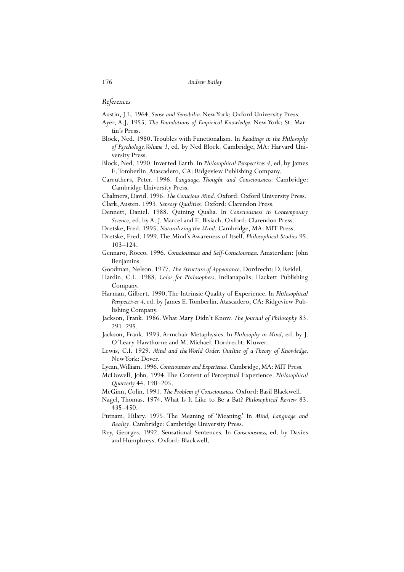```
176 Andrew Bailey
```
### *References*

Austin, J.L. 1964. *Sense and Sensibilia.* New York: Oxford University Press.

- Ayer, A.J. 1955. *The Foundations of Empirical Knowledge.* New York: St. Martin's Press.
- Block, Ned. 1980. Troubles with Functionalism. In *Readings in the Philosophy of Psychology, Volume 1,* ed. by Ned Block. Cambridge, MA: Harvard University Press.
- Block, Ned. 1990. Inverted Earth. In *Philosophical Perspectives 4*, ed. by James E. Tomberlin. Atascadero, CA: Ridgeview Publishing Company.
- Carruthers, Peter. 1996. *Language, Thought and Consciousness.* Cambridge: Cambridge University Press.

Chalmers, David. 1996. *The Conscious Mind*. Oxford: Oxford University Press.

- Clark, Austen. 1993. *Sensory Qualities*. Oxford: Clarendon Press.
- Dennett, Daniel. 1988. Quining Qualia. In *Consciousness in Contemporary Science*, ed. by A. J. Marcel and E. Bisiach. Oxford: Clarendon Press.
- Dretske, Fred. 1995. *Naturalizing the Mind*. Cambridge, MA: MIT Press.
- Dretske, Fred. 1999. The Mind's Awareness of Itself. *Philosophical Studies* 95. 103–124.
- Gennaro, Rocco. 1996. *Consciousness and Self-Consciousness.* Amsterdam: John Benjamins.

Goodman, Nelson. 1977. *The Structure of Appearance*. Dordrecht: D. Reidel.

- Hardin, C.L. 1988. *Color for Philosophers*. Indianapolis: Hackett Publishing Company.
- Harman, Gilbert. 1990. The Intrinsic Quality of Experience. In *Philosophical Perspectives 4,* ed. by James E. Tomberlin. Atascadero, CA: Ridgeview Publishing Company.
- Jackson, Frank. 1986. What Mary Didn't Know. *The Journal of Philosophy* 83. 291–295.
- Jackson, Frank. 1993. Armchair Metaphysics. In *Philosophy in Mind*, ed. by J. O'Leary-Hawthorne and M. Michael. Dordrecht: Kluwer.
- Lewis, C.I. 1929. *Mind and the World Order: Outline of a Theory of Knowledge.*  New York: Dover.
- Lycan, William. 1996. *Consciousness and Experience*. Cambridge, MA: MIT Press.
- McDowell, John. 1994. The Content of Perceptual Experience. *Philosophical Quarterly* 44. 190–205.
- McGinn, Colin. 1991. *The Problem of Consciousness.* Oxford: Basil Blackwell.
- Nagel, Thomas. 1974. What Is It Like to Be a Bat? *Philosophical Review* 83. 435–450.
- Putnam, Hilary. 1975. The Meaning of 'Meaning.' In *Mind, Language and Reality*. Cambridge: Cambridge University Press.
- Rey, Georges. 1992. Sensational Sentences. In *Consciousness,* ed. by Davies and Humphreys. Oxford: Blackwell.